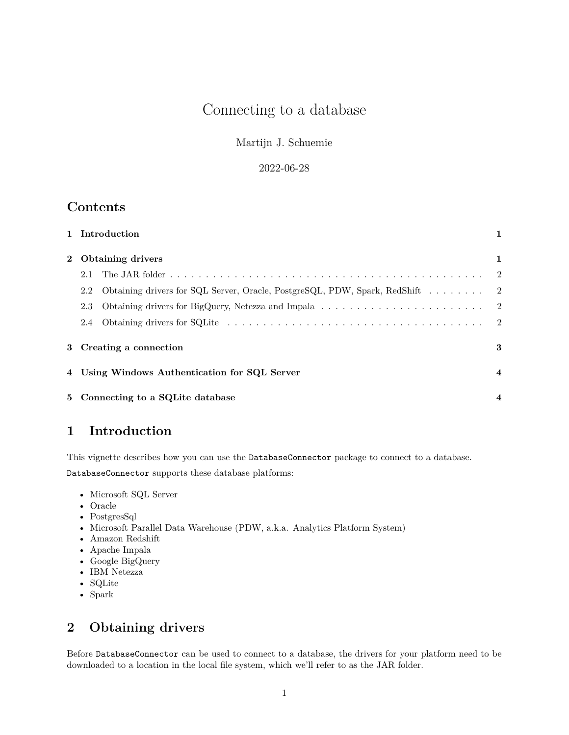# Connecting to a database

### Martijn J. Schuemie

### 2022-06-28

## **Contents**

|              |                                               | 1 Introduction                                                               | 1              |
|--------------|-----------------------------------------------|------------------------------------------------------------------------------|----------------|
| $\mathbf{2}$ | <b>Obtaining drivers</b>                      |                                                                              | 1              |
|              | 2.1                                           |                                                                              |                |
|              | 2.2                                           | Obtaining drivers for SQL Server, Oracle, PostgreSQL, PDW, Spark, RedShift 2 |                |
|              | 2.3                                           |                                                                              |                |
|              | 2.4                                           |                                                                              |                |
|              | 3 Creating a connection                       |                                                                              | 3              |
|              | 4 Using Windows Authentication for SQL Server |                                                                              | $\overline{4}$ |
|              |                                               | 5 Connecting to a SQLite database                                            | $\overline{4}$ |

# <span id="page-0-0"></span>**1 Introduction**

This vignette describes how you can use the DatabaseConnector package to connect to a database. DatabaseConnector supports these database platforms:

- Microsoft SQL Server
- Oracle
- PostgresSql
- Microsoft Parallel Data Warehouse (PDW, a.k.a. Analytics Platform System)
- Amazon Redshift
- Apache Impala
- Google BigQuery
- IBM Netezza
- SQLite
- Spark

# <span id="page-0-1"></span>**2 Obtaining drivers**

Before DatabaseConnector can be used to connect to a database, the drivers for your platform need to be downloaded to a location in the local file system, which we'll refer to as the JAR folder.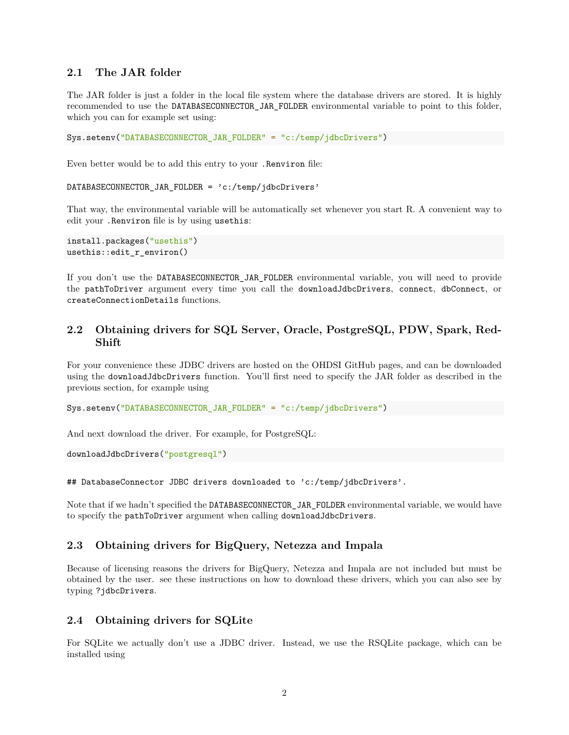#### <span id="page-1-0"></span>**2.1 The JAR folder**

The JAR folder is just a folder in the local file system where the database drivers are stored. It is highly recommended to use the DATABASECONNECTOR\_JAR\_FOLDER environmental variable to point to this folder, which you can for example set using:

Sys.setenv("DATABASECONNECTOR\_JAR\_FOLDER" = "c:/temp/jdbcDrivers")

Even better would be to add this entry to your .Renviron file:

DATABASECONNECTOR\_JAR\_FOLDER = 'c:/temp/jdbcDrivers'

That way, the environmental variable will be automatically set whenever you start R. A convenient way to edit your .Renviron file is by using usethis:

```
install.packages("usethis")
usethis::edit r environ()
```
If you don't use the DATABASECONNECTOR\_JAR\_FOLDER environmental variable, you will need to provide the pathToDriver argument every time you call the downloadJdbcDrivers, connect, dbConnect, or createConnectionDetails functions.

### <span id="page-1-1"></span>**2.2 Obtaining drivers for SQL Server, Oracle, PostgreSQL, PDW, Spark, Red-Shift**

For your convenience these JDBC drivers are hosted on the OHDSI GitHub pages, and can be downloaded using the downloadJdbcDrivers function. You'll first need to specify the JAR folder as described in the previous section, for example using

Sys.setenv("DATABASECONNECTOR\_JAR\_FOLDER" = "c:/temp/jdbcDrivers")

And next download the driver. For example, for PostgreSQL:

downloadJdbcDrivers("postgresql")

```
## DatabaseConnector JDBC drivers downloaded to 'c:/temp/jdbcDrivers'.
```
Note that if we hadn't specified the DATABASECONNECTOR\_JAR\_FOLDER environmental variable, we would have to specify the pathToDriver argument when calling downloadJdbcDrivers.

#### <span id="page-1-2"></span>**2.3 Obtaining drivers for BigQuery, Netezza and Impala**

Because of licensing reasons the drivers for BigQuery, Netezza and Impala are not included but must be obtained by the user. see [these instructions on how to download these drivers,](http://ohdsi.github.io/DatabaseConnector/reference/jdbcDrivers.html) which you can also see by typing ?jdbcDrivers.

#### <span id="page-1-3"></span>**2.4 Obtaining drivers for SQLite**

For SQLite we actually don't use a JDBC driver. Instead, we use the RSQLite package, which can be installed using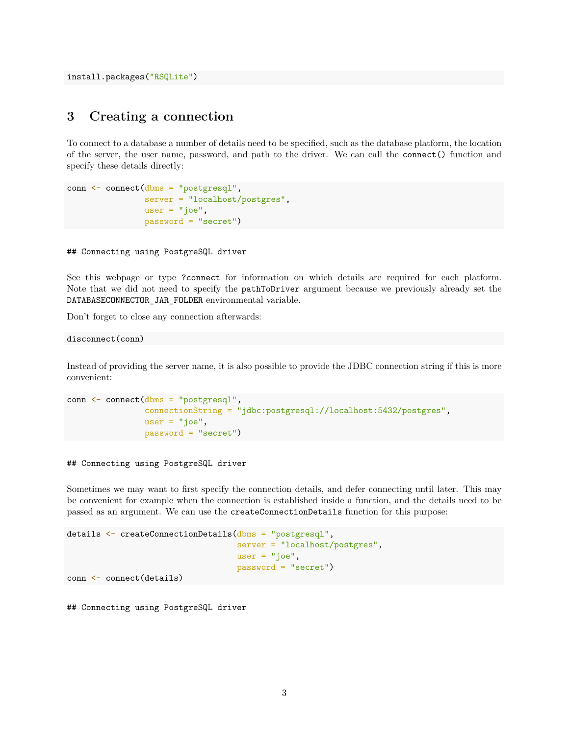install.packages("RSQLite")

## <span id="page-2-0"></span>**3 Creating a connection**

To connect to a database a number of details need to be specified, such as the database platform, the location of the server, the user name, password, and path to the driver. We can call the connect() function and specify these details directly:

```
conn <- connect(dbms = "postgresql",
                server = "localhost/postgres",
                user = "joe",
                password = "secret")
```
## Connecting using PostgreSQL driver

See [this webpage](http://ohdsi.github.io/DatabaseConnector/reference/connect.html) or type ?connect for information on which details are required for each platform. Note that we did not need to specify the pathToDriver argument because we previously already set the DATABASECONNECTOR\_JAR\_FOLDER environmental variable.

Don't forget to close any connection afterwards:

disconnect(conn)

Instead of providing the server name, it is also possible to provide the JDBC connection string if this is more convenient:

```
conn <- connect(dbms = "postgresql",
                connectionString = "jdbc:postgresql://localhost:5432/postgres",
                user = "joe",password = "secret")
```
## Connecting using PostgreSQL driver

Sometimes we may want to first specify the connection details, and defer connecting until later. This may be convenient for example when the connection is established inside a function, and the details need to be passed as an argument. We can use the createConnectionDetails function for this purpose:

```
details <- createConnectionDetails(dbms = "postgresql",
                                   server = "localhost/postgres",
                                   user = "joe",password = "secret")
```
conn <- connect(details)

## Connecting using PostgreSQL driver